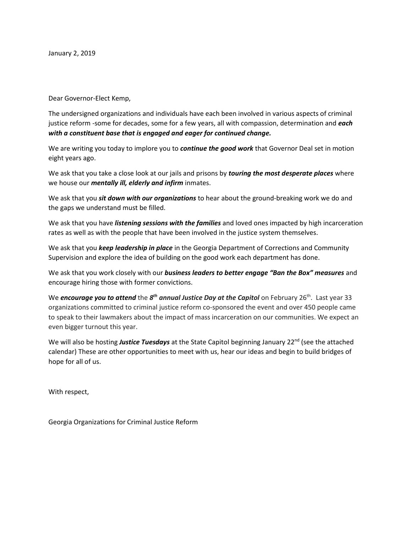January 2, 2019

Dear Governor-Elect Kemp,

The undersigned organizations and individuals have each been involved in various aspects of criminal justice reform -some for decades, some for a few years, all with compassion, determination and *each with a constituent base that is engaged and eager for continued change.* 

We are writing you today to implore you to *continue the good work* that Governor Deal set in motion eight years ago.

We ask that you take a close look at our jails and prisons by *touring the most desperate places* where we house our *mentally ill, elderly and infirm* inmates.

We ask that you *sit down with our organizations* to hear about the ground-breaking work we do and the gaps we understand must be filled.

We ask that you have *listening sessions with the families* and loved ones impacted by high incarceration rates as well as with the people that have been involved in the justice system themselves.

We ask that you *keep leadership in place* in the Georgia Department of Corrections and Community Supervision and explore the idea of building on the good work each department has done.

We ask that you work closely with our *business leaders to better engage "Ban the Box" measures* and encourage hiring those with former convictions.

We **encourage you to attend** the  $\mathcal{S}^{th}$  annual Justice Day at the Capitol on February 26<sup>th</sup>. Last year 33 organizations committed to criminal justice reform co-sponsored the event and over 450 people came to speak to their lawmakers about the impact of mass incarceration on our communities. We expect an even bigger turnout this year.

We will also be hosting *Justice Tuesdays* at the State Capitol beginning January 22<sup>nd</sup> (see the attached calendar) These are other opportunities to meet with us, hear our ideas and begin to build bridges of hope for all of us.

With respect,

Georgia Organizations for Criminal Justice Reform